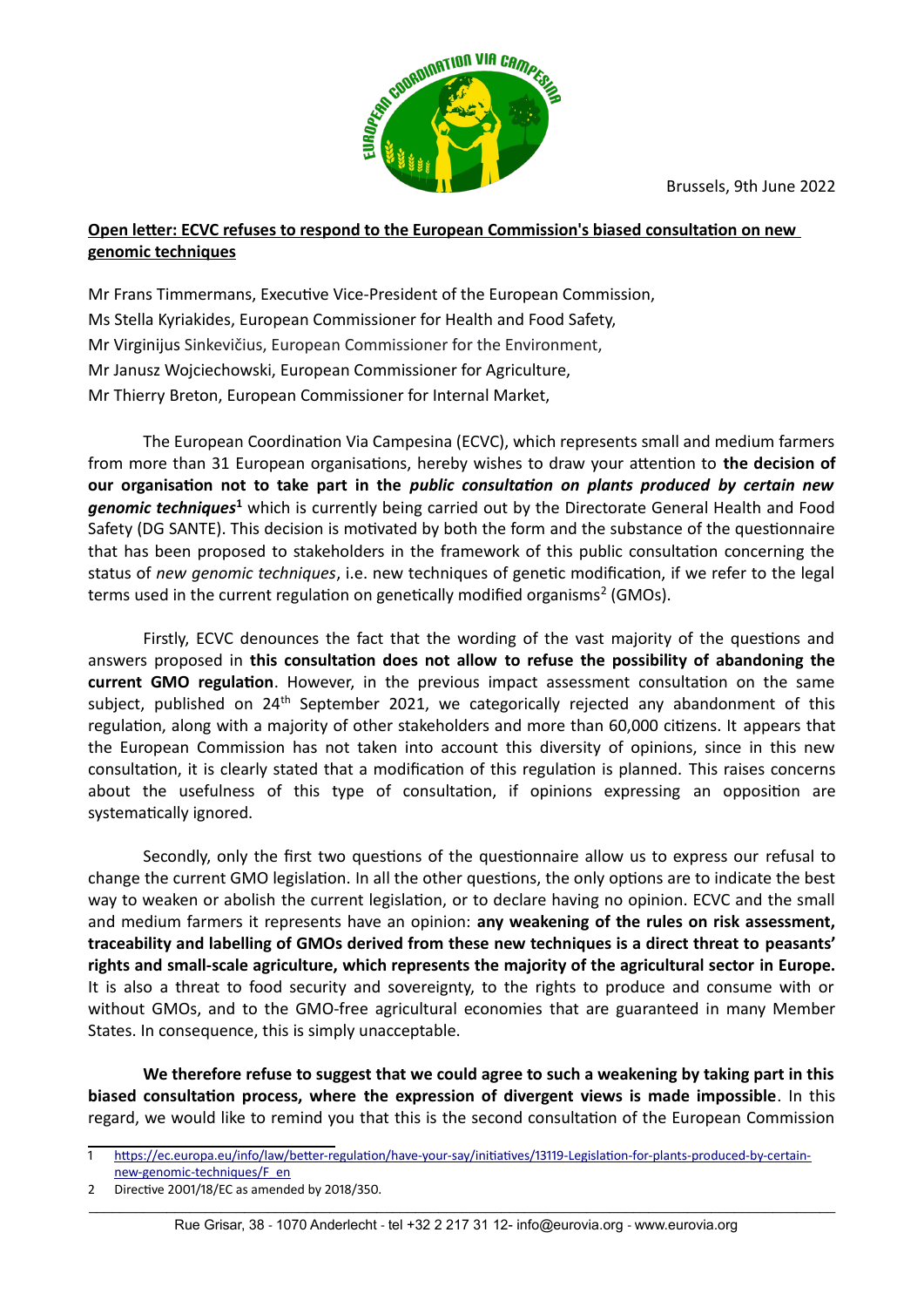

## **Open letter: ECVC refuses to respond to the European Commission's biased consultation on new genomic techniques**

Mr Frans Timmermans, Executive Vice-President of the European Commission, Ms Stella Kyriakides, European Commissioner for Health and Food Safety, Mr Virginijus Sinkevičius, European Commissioner for the Environment, Mr Janusz Wojciechowski, European Commissioner for Agriculture, Mr Thierry Breton, European Commissioner for Internal Market,

The European Coordination Via Campesina (ECVC), which represents small and medium farmers from more than 31 European organisations, hereby wishes to draw your attention to **the decision of our organisation not to take part in the** *public consultation on plants produced by certain new* genomic techniques<sup>[1](#page-0-0)</sup> which is currently being carried out by the Directorate General Health and Food Safety (DG SANTE). This decision is motivated by both the form and the substance of the questionnaire that has been proposed to stakeholders in the framework of this public consultation concerning the status of *new genomic techniques*, i.e. new techniques of genetic modification, if we refer to the legal terms used in the current regulation on genetically modified organisms<sup>[2](#page-0-1)</sup> (GMOs).

Firstly, ECVC denounces the fact that the wording of the vast majority of the questions and answers proposed in **this consultation does not allow to refuse the possibility of abandoning the current GMO regulation**. However, in the previous impact assessment consultation on the same subject, published on 24<sup>th</sup> September 2021, we categorically rejected any abandonment of this regulation, along with a majority of other stakeholders and more than 60,000 citizens. It appears that the European Commission has not taken into account this diversity of opinions, since in this new consultation, it is clearly stated that a modification of this regulation is planned. This raises concerns about the usefulness of this type of consultation, if opinions expressing an opposition are systematically ignored.

Secondly, only the first two questions of the questionnaire allow us to express our refusal to change the current GMO legislation. In all the other questions, the only options are to indicate the best way to weaken or abolish the current legislation, or to declare having no opinion. ECVC and the small and medium farmers it represents have an opinion: **any weakening of the rules on risk assessment, traceability and labelling of GMOs derived from these new techniques is a direct threat to peasants' rights and small-scale agriculture, which represents the majority of the agricultural sector in Europe.** It is also a threat to food security and sovereignty, to the rights to produce and consume with or without GMOs, and to the GMO-free agricultural economies that are guaranteed in many Member States. In consequence, this is simply unacceptable.

**We therefore refuse to suggest that we could agree to such a weakening by taking part in this biased consultation process, where the expression of divergent views is made impossible**. In this regard, we would like to remind you that this is the second consultation of the European Commission

<span id="page-0-0"></span><sup>1</sup> [https://ec.europa.eu/info/law/better-regulation/have-your-say/initiatives/13119-Legislation-for-plants-produced-by-certain](https://ec.europa.eu/info/law/better-regulation/have-your-say/initiatives/13119-Legislation-for-plants-produced-by-certain-new-genomic-techniques/F_en)[new-genomic-techniques/F\\_en](https://ec.europa.eu/info/law/better-regulation/have-your-say/initiatives/13119-Legislation-for-plants-produced-by-certain-new-genomic-techniques/F_en)

<span id="page-0-1"></span><sup>2</sup> Directive 2001/18/EC as amended by 2018/350.